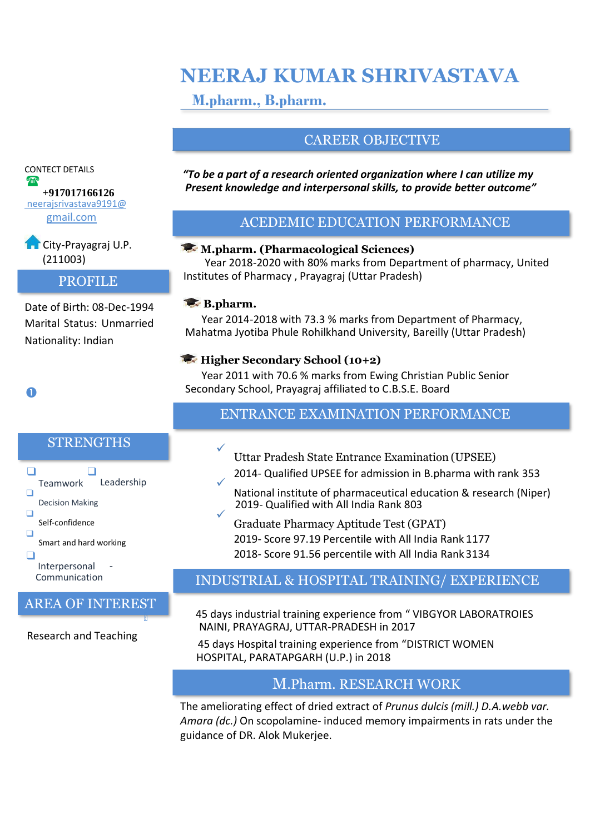# **NEERAJ KUMAR SHRIVASTAVA**

**M.pharm., B.pharm.**

## CAREER OBJECTIVE

*"To be a part of a research oriented organization where I can utilize my Present knowledge and interpersonal skills, to provide better outcome"*

#### ACEDEMIC EDUCATION PERFORMANCE

#### **M.pharm. (Pharmacological Sciences)**

Year 2018-2020 with 80% marks from Department of pharmacy, United Institutes of Pharmacy , Prayagraj (Uttar Pradesh)

#### **B.pharm.**

 $\checkmark$ 

 $\checkmark$ 

Year 2014-2018 with 73.3 % marks from Department of Pharmacy, Mahatma Jyotiba Phule Rohilkhand University, Bareilly (Uttar Pradesh)

#### **Higher Secondary School (10+2)**

Year 2011 with 70.6 % marks from Ewing Christian Public Senior Secondary School, Prayagraj affiliated to C.B.S.E. Board

#### ENTRANCE EXAMINATION PERFORMANCE

- Uttar Pradesh State Entrance Examination (UPSEE)
- 2014- Qualified UPSEE for admission in B.pharma with rank 353
- National institute of pharmaceutical education & research (Niper) 2019- Qualified with All India Rank 803
- Graduate Pharmacy Aptitude Test (GPAT) 2019- Score 97.19 Percentile with All India Rank 1177 2018- Score 91.56 percentile with All India Rank3134

## INDUSTRIAL & HOSPITAL TRAINING/ EXPERIENCE

45 days industrial training experience from " VIBGYOR LABORATROIES NAINI, PRAYAGRAJ, UTTAR-PRADESH in 2017

45 days Hospital training experience from "DISTRICT WOMEN HOSPITAL, PARATAPGARH (U.P.) in 2018

## M.Pharm. RESEARCH WORK

The ameliorating effect of dried extract of *Prunus dulcis (mill.) D.A.webb var. Amara (dc.)* On scopolamine- induced memory impairments in rats under the guidance of DR. Alok Mukerjee.

CONTECT DETAILS Ting **+917017166126** neerajsrivastava9191@ [gmail.com](mailto:ankitsinghpbh12195@gmail.com)

**City-Prayagraj U.P.** (211003)

**PROFILE** 

Date of Birth: 08-Dec-1994 Marital Status: Unmarried Nationality: Indian

#### **STRENGTHS**

 $\bullet$ 



# AREA OF INTEREST

Research and Teaching